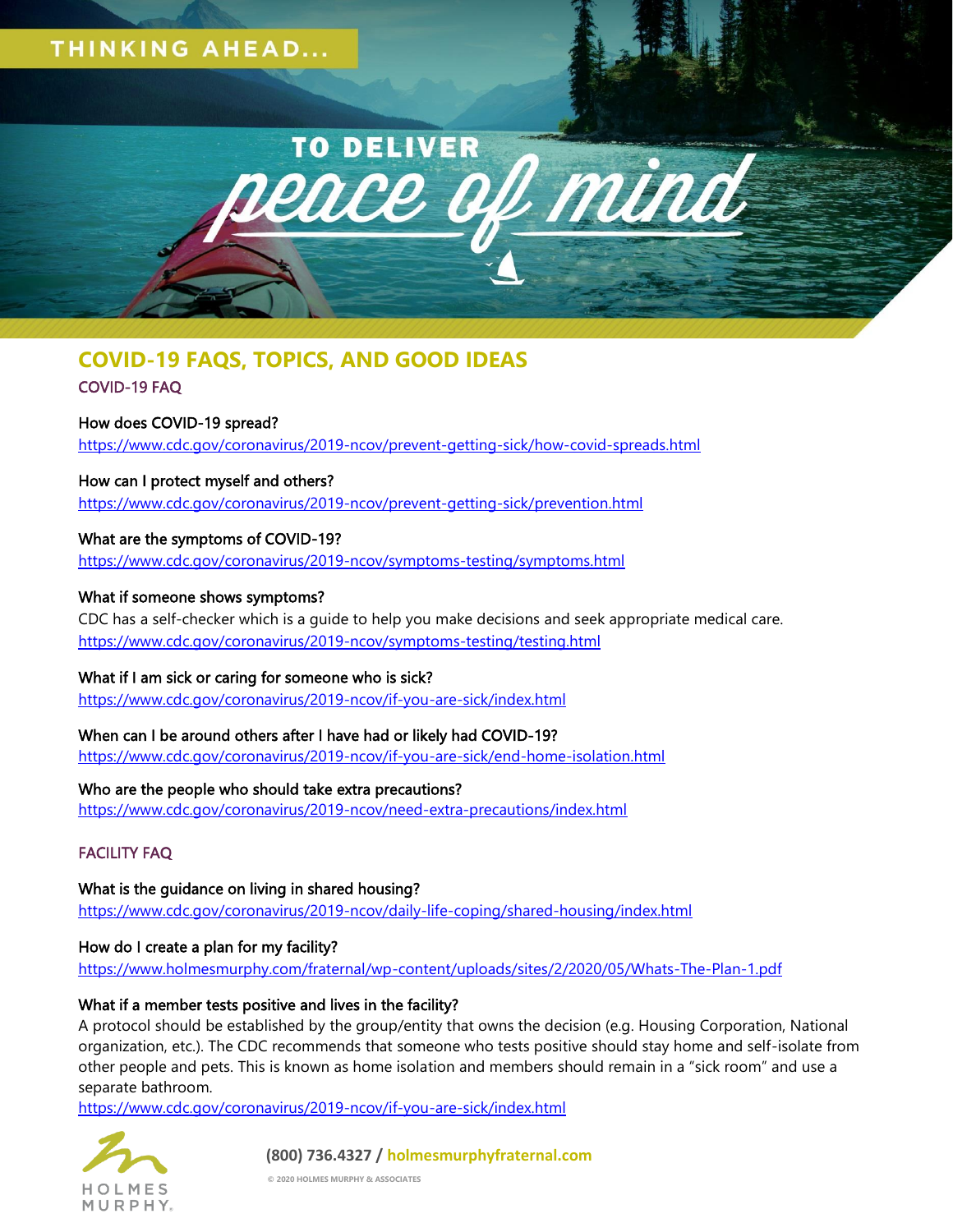# THINKING AHEAD...



# **COVID-19 FAQS, TOPICS, AND GOOD IDEAS**

# COVID-19 FAQ

# How does COVID-19 spread?

<https://www.cdc.gov/coronavirus/2019-ncov/prevent-getting-sick/how-covid-spreads.html>

How can I protect myself and others? <https://www.cdc.gov/coronavirus/2019-ncov/prevent-getting-sick/prevention.html>

## What are the symptoms of COVID-19?

<https://www.cdc.gov/coronavirus/2019-ncov/symptoms-testing/symptoms.html>

## What if someone shows symptoms?

CDC has a self-checker which is a guide to help you make decisions and seek appropriate medical care. <https://www.cdc.gov/coronavirus/2019-ncov/symptoms-testing/testing.html>

## What if I am sick or caring for someone who is sick?

<https://www.cdc.gov/coronavirus/2019-ncov/if-you-are-sick/index.html>

# When can I be around others after I have had or likely had COVID-19?

<https://www.cdc.gov/coronavirus/2019-ncov/if-you-are-sick/end-home-isolation.html>

## Who are the people who should take extra precautions?

<https://www.cdc.gov/coronavirus/2019-ncov/need-extra-precautions/index.html>

## FACILITY FAQ

What is the guidance on living in shared housing? <https://www.cdc.gov/coronavirus/2019-ncov/daily-life-coping/shared-housing/index.html>

## How do I create a plan for my facility?

<https://www.holmesmurphy.com/fraternal/wp-content/uploads/sites/2/2020/05/Whats-The-Plan-1.pdf>

## What if a member tests positive and lives in the facility?

A protocol should be established by the group/entity that owns the decision (e.g. Housing Corporation, National organization, etc.). The CDC recommends that someone who tests positive should stay home and self-isolate from other people and pets. This is known as home isolation and members should remain in a "sick room" and use a separate bathroom.

<https://www.cdc.gov/coronavirus/2019-ncov/if-you-are-sick/index.html>



## **(800) 736.4327 / holmesmurphyfraternal.com**

**© 2020 HOLMES MURPHY & ASSOCIATES**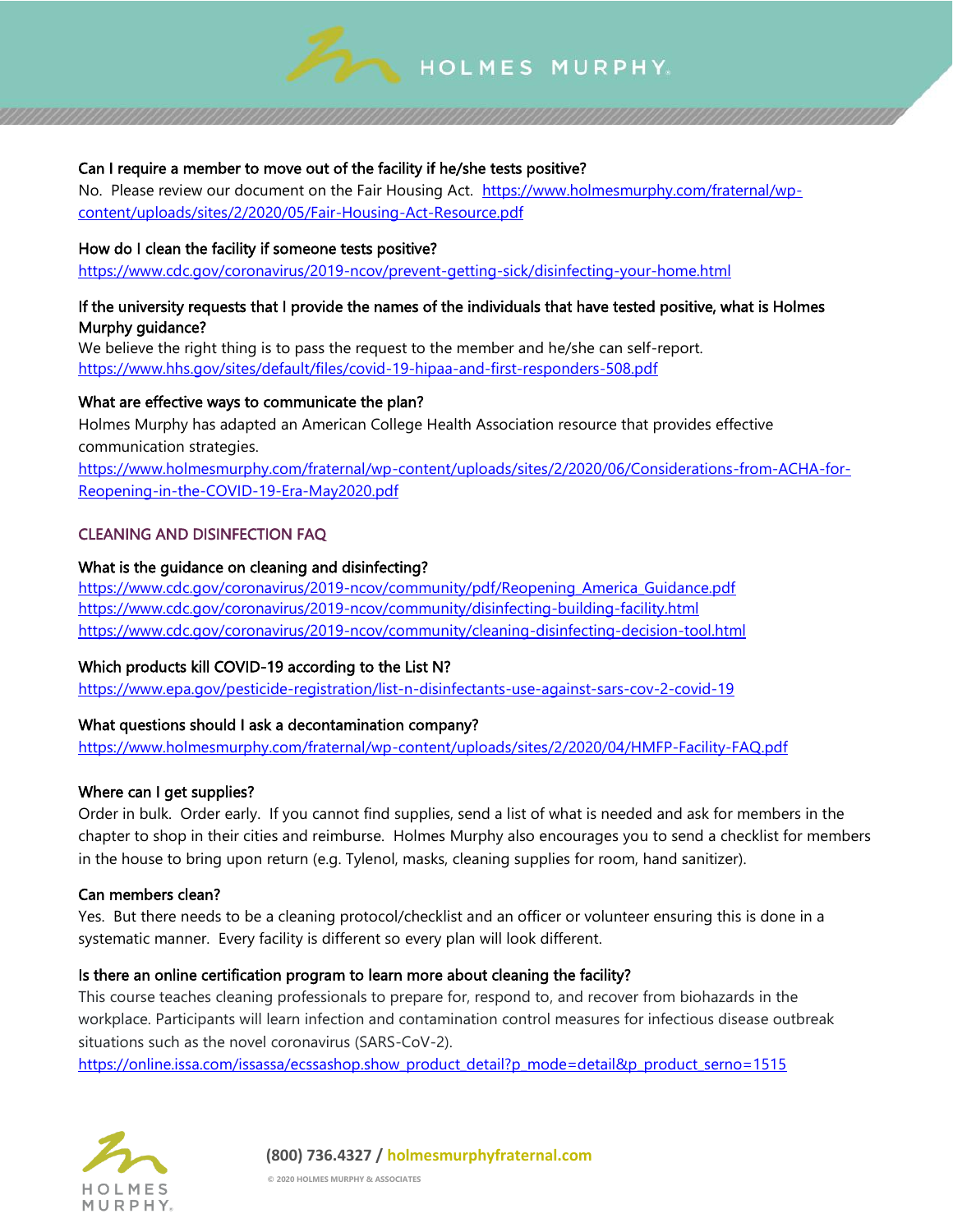

## Can I require a member to move out of the facility if he/she tests positive?

No. Please review our document on the Fair Housing Act. [https://www.holmesmurphy.com/fraternal/wp](https://www.holmesmurphy.com/fraternal/wp-content/uploads/sites/2/2020/05/Fair-Housing-Act-Resource.pdf)[content/uploads/sites/2/2020/05/Fair-Housing-Act-Resource.pdf](https://www.holmesmurphy.com/fraternal/wp-content/uploads/sites/2/2020/05/Fair-Housing-Act-Resource.pdf)

#### How do I clean the facility if someone tests positive?

<https://www.cdc.gov/coronavirus/2019-ncov/prevent-getting-sick/disinfecting-your-home.html>

## If the university requests that I provide the names of the individuals that have tested positive, what is Holmes Murphy guidance?

We believe the right thing is to pass the request to the member and he/she can self-report. <https://www.hhs.gov/sites/default/files/covid-19-hipaa-and-first-responders-508.pdf>

## What are effective ways to communicate the plan?

Holmes Murphy has adapted an American College Health Association resource that provides effective communication strategies.

[https://www.holmesmurphy.com/fraternal/wp-content/uploads/sites/2/2020/06/Considerations-from-ACHA-for-](https://www.holmesmurphy.com/fraternal/wp-content/uploads/sites/2/2020/06/Considerations-from-ACHA-for-Reopening-in-the-COVID-19-Era-May2020.pdf)[Reopening-in-the-COVID-19-Era-May2020.pdf](https://www.holmesmurphy.com/fraternal/wp-content/uploads/sites/2/2020/06/Considerations-from-ACHA-for-Reopening-in-the-COVID-19-Era-May2020.pdf)

#### CLEANING AND DISINFECTION FAQ

#### What is the guidance on cleaning and disinfecting?

[https://www.cdc.gov/coronavirus/2019-ncov/community/pdf/Reopening\\_America\\_Guidance.pdf](https://www.cdc.gov/coronavirus/2019-ncov/community/pdf/Reopening_America_Guidance.pdf) <https://www.cdc.gov/coronavirus/2019-ncov/community/disinfecting-building-facility.html> <https://www.cdc.gov/coronavirus/2019-ncov/community/cleaning-disinfecting-decision-tool.html>

## Which products kill COVID-19 according to the List N?

<https://www.epa.gov/pesticide-registration/list-n-disinfectants-use-against-sars-cov-2-covid-19>

## What questions should I ask a decontamination company?

<https://www.holmesmurphy.com/fraternal/wp-content/uploads/sites/2/2020/04/HMFP-Facility-FAQ.pdf>

## Where can I get supplies?

Order in bulk. Order early. If you cannot find supplies, send a list of what is needed and ask for members in the chapter to shop in their cities and reimburse. Holmes Murphy also encourages you to send a checklist for members in the house to bring upon return (e.g. Tylenol, masks, cleaning supplies for room, hand sanitizer).

#### Can members clean?

Yes. But there needs to be a cleaning protocol/checklist and an officer or volunteer ensuring this is done in a systematic manner. Every facility is different so every plan will look different.

#### Is there an online certification program to learn more about cleaning the facility?

This course teaches cleaning professionals to prepare for, respond to, and recover from biohazards in the workplace. Participants will learn infection and contamination control measures for infectious disease outbreak situations such as the novel coronavirus (SARS-CoV-2).

[https://online.issa.com/issassa/ecssashop.show\\_product\\_detail?p\\_mode=detail&p\\_product\\_serno=1515](https://online.issa.com/issassa/ecssashop.show_product_detail?p_mode=detail&p_product_serno=1515) 

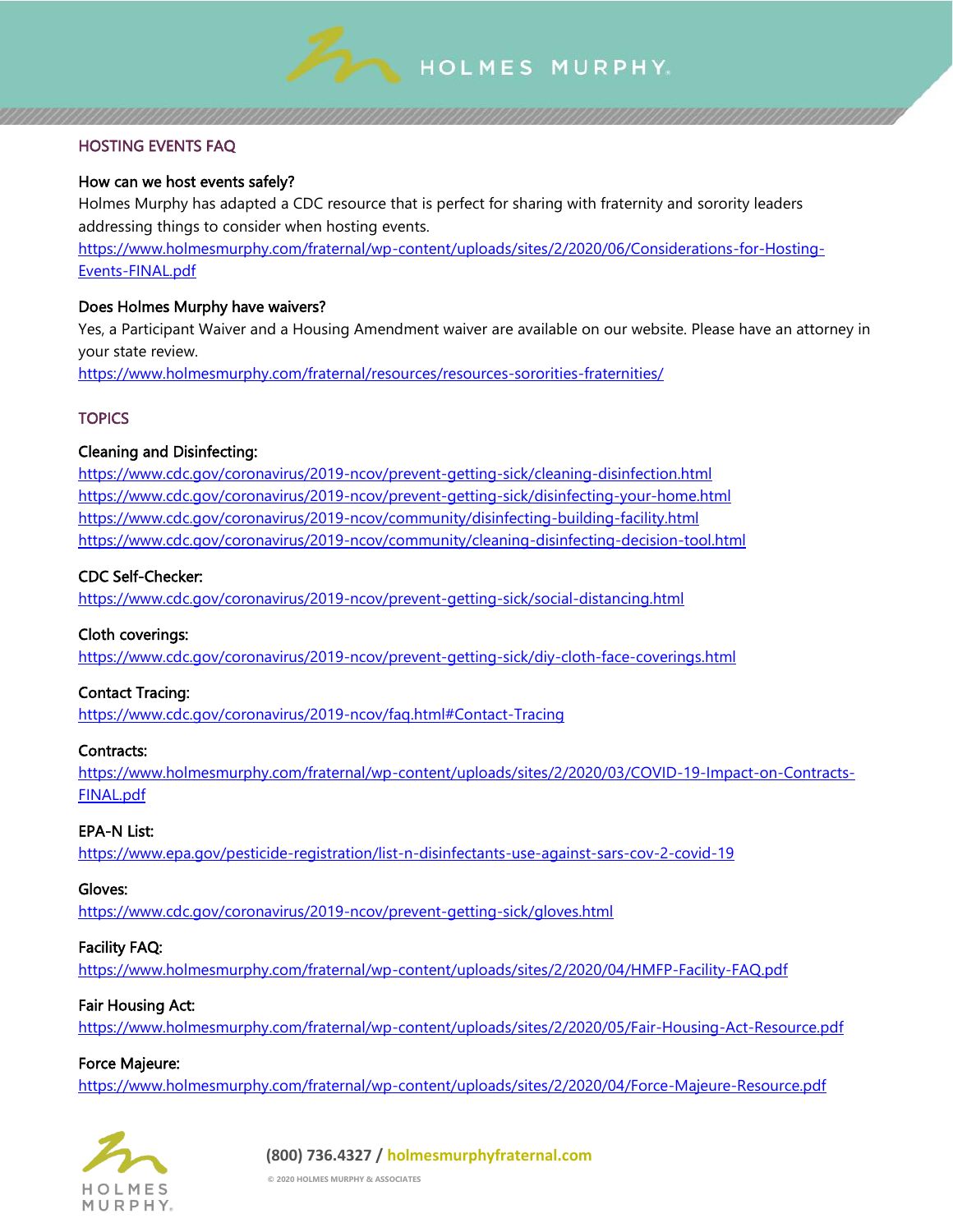

## HOSTING EVENTS FAQ

## How can we host events safely?

Holmes Murphy has adapted a CDC resource that is perfect for sharing with fraternity and sorority leaders addressing things to consider when hosting events.

[https://www.holmesmurphy.com/fraternal/wp-content/uploads/sites/2/2020/06/Considerations-for-Hosting-](https://www.holmesmurphy.com/fraternal/wp-content/uploads/sites/2/2020/06/Considerations-for-Hosting-Events-FINAL.pdf)[Events-FINAL.pdf](https://www.holmesmurphy.com/fraternal/wp-content/uploads/sites/2/2020/06/Considerations-for-Hosting-Events-FINAL.pdf)

## Does Holmes Murphy have waivers?

Yes, a Participant Waiver and a Housing Amendment waiver are available on our website. Please have an attorney in your state review.

<https://www.holmesmurphy.com/fraternal/resources/resources-sororities-fraternities/>

## **TOPICS**

## Cleaning and Disinfecting:

<https://www.cdc.gov/coronavirus/2019-ncov/prevent-getting-sick/cleaning-disinfection.html> <https://www.cdc.gov/coronavirus/2019-ncov/prevent-getting-sick/disinfecting-your-home.html> <https://www.cdc.gov/coronavirus/2019-ncov/community/disinfecting-building-facility.html> <https://www.cdc.gov/coronavirus/2019-ncov/community/cleaning-disinfecting-decision-tool.html>

## CDC Self-Checker:

<https://www.cdc.gov/coronavirus/2019-ncov/prevent-getting-sick/social-distancing.html>

## Cloth coverings:

<https://www.cdc.gov/coronavirus/2019-ncov/prevent-getting-sick/diy-cloth-face-coverings.html>

## Contact Tracing:

<https://www.cdc.gov/coronavirus/2019-ncov/faq.html#Contact-Tracing>

## Contracts:

[https://www.holmesmurphy.com/fraternal/wp-content/uploads/sites/2/2020/03/COVID-19-Impact-on-Contracts-](https://www.holmesmurphy.com/fraternal/wp-content/uploads/sites/2/2020/03/COVID-19-Impact-on-Contracts-FINAL.pdf)[FINAL.pdf](https://www.holmesmurphy.com/fraternal/wp-content/uploads/sites/2/2020/03/COVID-19-Impact-on-Contracts-FINAL.pdf)

## EPA-N List:

<https://www.epa.gov/pesticide-registration/list-n-disinfectants-use-against-sars-cov-2-covid-19>

## Gloves:

<https://www.cdc.gov/coronavirus/2019-ncov/prevent-getting-sick/gloves.html>

## Facility FAQ:

<https://www.holmesmurphy.com/fraternal/wp-content/uploads/sites/2/2020/04/HMFP-Facility-FAQ.pdf>

## Fair Housing Act:

<https://www.holmesmurphy.com/fraternal/wp-content/uploads/sites/2/2020/05/Fair-Housing-Act-Resource.pdf>

## Force Majeure:

<https://www.holmesmurphy.com/fraternal/wp-content/uploads/sites/2/2020/04/Force-Majeure-Resource.pdf>



**(800) 736.4327 / holmesmurphyfraternal.com**

**© 2020 HOLMES MURPHY & ASSOCIATES**